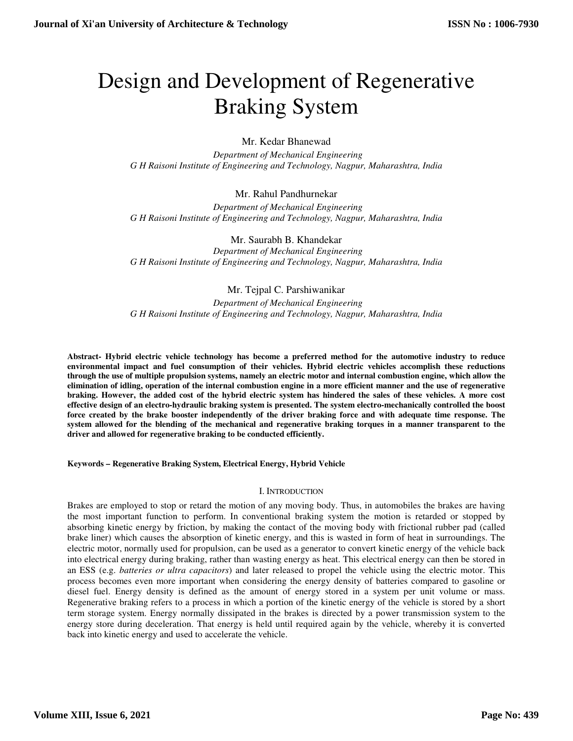# Design and Development of Regenerative Braking System

Mr. Kedar Bhanewad

 *Department of Mechanical Engineering G H Raisoni Institute of Engineering and Technology, Nagpur, Maharashtra, India* 

# Mr. Rahul Pandhurnekar

 *Department of Mechanical Engineering G H Raisoni Institute of Engineering and Technology, Nagpur, Maharashtra, India* 

Mr. Saurabh B. Khandekar  *Department of Mechanical Engineering G H Raisoni Institute of Engineering and Technology, Nagpur, Maharashtra, India* 

Mr. Tejpal C. Parshiwanikar

 *Department of Mechanical Engineering G H Raisoni Institute of Engineering and Technology, Nagpur, Maharashtra, India* 

**Abstract- Hybrid electric vehicle technology has become a preferred method for the automotive industry to reduce environmental impact and fuel consumption of their vehicles. Hybrid electric vehicles accomplish these reductions through the use of multiple propulsion systems, namely an electric motor and internal combustion engine, which allow the elimination of idling, operation of the internal combustion engine in a more efficient manner and the use of regenerative braking. However, the added cost of the hybrid electric system has hindered the sales of these vehicles. A more cost effective design of an electro-hydraulic braking system is presented. The system electro-mechanically controlled the boost force created by the brake booster independently of the driver braking force and with adequate time response. The system allowed for the blending of the mechanical and regenerative braking torques in a manner transparent to the driver and allowed for regenerative braking to be conducted efficiently.** 

**Keywords – Regenerative Braking System, Electrical Energy, Hybrid Vehicle** 

#### I. INTRODUCTION

Brakes are employed to stop or retard the motion of any moving body. Thus, in automobiles the brakes are having the most important function to perform. In conventional braking system the motion is retarded or stopped by absorbing kinetic energy by friction, by making the contact of the moving body with frictional rubber pad (called brake liner) which causes the absorption of kinetic energy, and this is wasted in form of heat in surroundings. The electric motor, normally used for propulsion, can be used as a generator to convert kinetic energy of the vehicle back into electrical energy during braking, rather than wasting energy as heat. This electrical energy can then be stored in an ESS (e.g. *batteries or ultra capacitors*) and later released to propel the vehicle using the electric motor. This process becomes even more important when considering the energy density of batteries compared to gasoline or diesel fuel. Energy density is defined as the amount of energy stored in a system per unit volume or mass. Regenerative braking refers to a process in which a portion of the kinetic energy of the vehicle is stored by a short term storage system. Energy normally dissipated in the brakes is directed by a power transmission system to the energy store during deceleration. That energy is held until required again by the vehicle, whereby it is converted back into kinetic energy and used to accelerate the vehicle.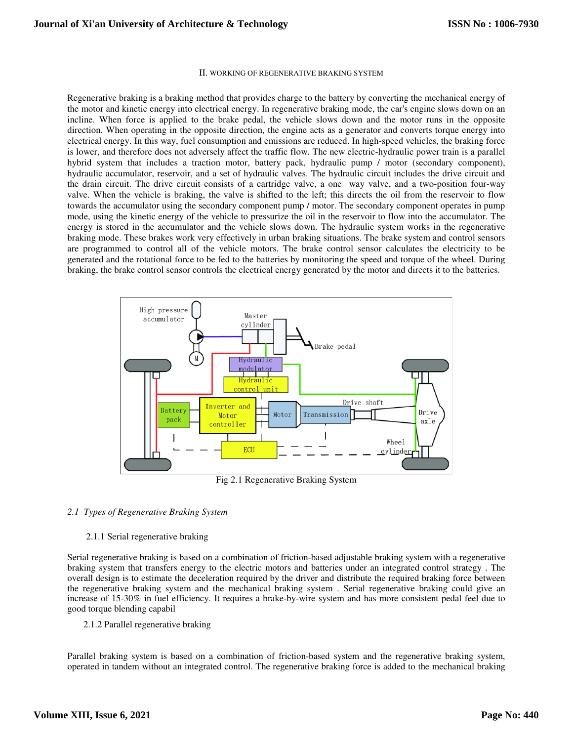#### II. WORKING OF REGENERATIVE BRAKING SYSTEM

Regenerative braking is a braking method that provides charge to the battery by converting the mechanical energy of the motor and kinetic energy into electrical energy. In regenerative braking mode, the car's engine slows down on an incline. When force is applied to the brake pedal, the vehicle slows down and the motor runs in the opposite direction. When operating in the opposite direction, the engine acts as a generator and converts torque energy into electrical energy. In this way, fuel consumption and emissions are reduced. In high-speed vehicles, the braking force is lower, and therefore does not adversely affect the traffic flow. The new electric-hydraulic power train is a parallel hybrid system that includes a traction motor, battery pack, hydraulic pump / motor (secondary component), hydraulic accumulator, reservoir, and a set of hydraulic valves. The hydraulic circuit includes the drive circuit and the drain circuit. The drive circuit consists of a cartridge valve, a one way valve, and a two-position four-way valve. When the vehicle is braking, the valve is shifted to the left; this directs the oil from the reservoir to flow towards the accumulator using the secondary component pump / motor. The secondary component operates in pump mode, using the kinetic energy of the vehicle to pressurize the oil in the reservoir to flow into the accumulator. The energy is stored in the accumulator and the vehicle slows down. The hydraulic system works in the regenerative braking mode. These brakes work very effectively in urban braking situations. The brake system and control sensors are programmed to control all of the vehicle motors. The brake control sensor calculates the electricity to be generated and the rotational force to be fed to the batteries by monitoring the speed and torque of the wheel. During braking, the brake control sensor controls the electrical energy generated by the motor and directs it to the batteries.



Fig 2.1 Regenerative Braking System

#### *2.1 Types of Regenerative Braking System*

#### 2.1.1 Serial regenerative braking

Serial regenerative braking is based on a combination of friction-based adjustable braking system with a regenerative braking system that transfers energy to the electric motors and batteries under an integrated control strategy . The overall design is to estimate the deceleration required by the driver and distribute the required braking force between the regenerative braking system and the mechanical braking system . Serial regenerative braking could give an increase of 15-30% in fuel efficiency. It requires a brake-by-wire system and has more consistent pedal feel due to good torque blending capabil

2.1.2 Parallel regenerative braking

Parallel braking system is based on a combination of friction-based system and the regenerative braking system, operated in tandem without an integrated control. The regenerative braking force is added to the mechanical braking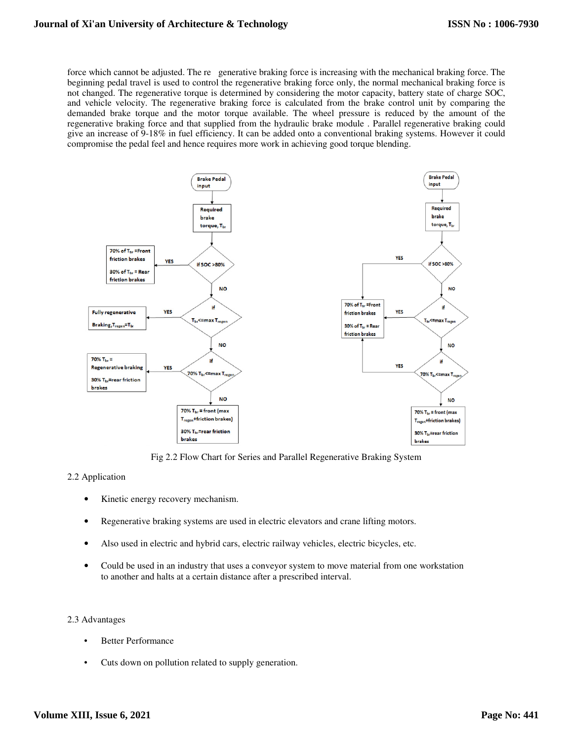force which cannot be adjusted. The re generative braking force is increasing with the mechanical braking force. The beginning pedal travel is used to control the regenerative braking force only, the normal mechanical braking force is not changed. The regenerative torque is determined by considering the motor capacity, battery state of charge SOC, and vehicle velocity. The regenerative braking force is calculated from the brake control unit by comparing the demanded brake torque and the motor torque available. The wheel pressure is reduced by the amount of the regenerative braking force and that supplied from the hydraulic brake module . Parallel regenerative braking could give an increase of 9-18% in fuel efficiency. It can be added onto a conventional braking systems. However it could compromise the pedal feel and hence requires more work in achieving good torque blending.



Fig 2.2 Flow Chart for Series and Parallel Regenerative Braking System

## 2.2 Application

- Kinetic energy recovery mechanism.
- Regenerative braking systems are used in electric elevators and crane lifting motors.
- Also used in electric and hybrid cars, electric railway vehicles, electric bicycles, etc.
- Could be used in an industry that uses a conveyor system to move material from one workstation to another and halts at a certain distance after a prescribed interval.

#### 2.3 Advantages

- **Better Performance**
- Cuts down on pollution related to supply generation.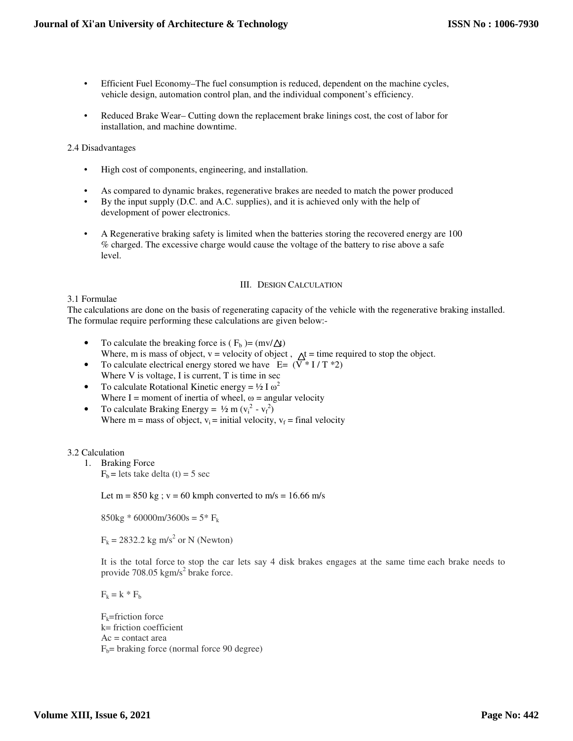- Efficient Fuel Economy–The fuel consumption is reduced, dependent on the machine cycles, vehicle design, automation control plan, and the individual component's efficiency.
- Reduced Brake Wear– Cutting down the replacement brake linings cost, the cost of labor for installation, and machine downtime.

2.4 Disadvantages

- High cost of components, engineering, and installation.
- As compared to dynamic brakes, regenerative brakes are needed to match the power produced
- By the input supply (D.C. and A.C. supplies), and it is achieved only with the help of development of power electronics.
- A Regenerative braking safety is limited when the batteries storing the recovered energy are 100 % charged. The excessive charge would cause the voltage of the battery to rise above a safe level.

#### III. DESIGN CALCULATION

3.1 Formulae

The calculations are done on the basis of regenerating capacity of the vehicle with the regenerative braking installed. The formulae require performing these calculations are given below:-

- To calculate the breaking force is  $(F_b) = (mv/\Delta t)$ Where, m is mass of object,  $v =$  velocity of object,  $\Lambda t =$  time required to stop the object.
- To calculate electrical energy stored we have  $E = (\overrightarrow{V} * I / T * 2)$ Where V is voltage, I is current, T is time in sec
- To calculate Rotational Kinetic energy =  $\frac{1}{2}$  I  $\omega^2$ Where I = moment of inertia of wheel,  $\omega$  = angular velocity
- To calculate Braking Energy =  $\frac{1}{2}$  m ( $v_i^2 v_f^2$ ) Where  $m =$  mass of object,  $v_i =$  initial velocity,  $v_f =$  final velocity

## 3.2 Calculation

1. Braking Force

 $F_b$  = lets take delta (t) = 5 sec

Let  $m = 850$  kg;  $v = 60$  kmph converted to  $m/s = 16.66$  m/s

 $850kg * 60000m/3600s = 5* F_k$ 

 $F_k = 2832.2$  kg m/s<sup>2</sup> or N (Newton)

It is the total force to stop the car lets say 4 disk brakes engages at the same time each brake needs to provide  $708.05$  kgm/s<sup>2</sup> brake force.

 $F_k = k * F_b$ 

 $F_k$ =friction force k= friction coefficient  $Ac = contact area$  $F_b$ = braking force (normal force 90 degree)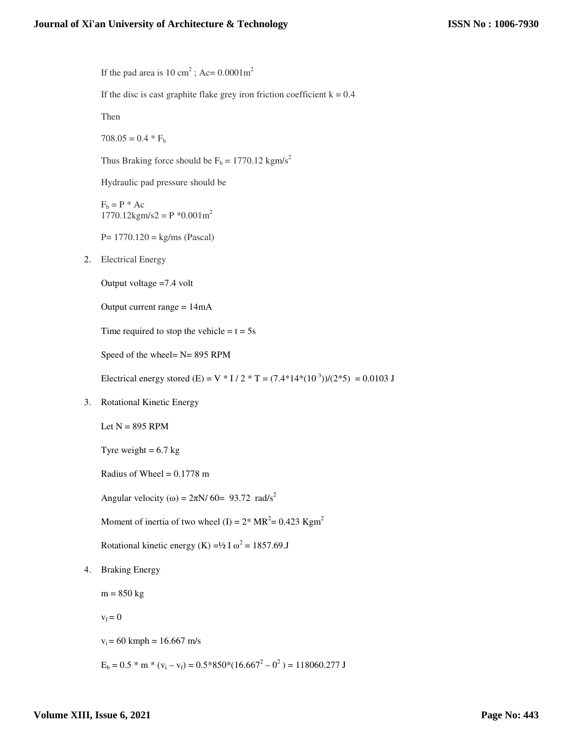If the pad area is 10 cm<sup>2</sup>; Ac=  $0.0001 \text{m}^2$ If the disc is cast graphite flake grey iron friction coefficient  $k = 0.4$ Then  $708.05 = 0.4 * F_b$ Thus Braking force should be  $F_b = 1770.12$  kgm/s<sup>2</sup> Hydraulic pad pressure should be  $F_b = P^* A c$  $1770.12$ kgm/s2 = P  $^*0.001$ m<sup>2</sup>  $P = 1770.120 = kg/ms (Pascal)$ 2. Electrical Energy Output voltage =7.4 volt Output current range = 14mA Time required to stop the vehicle  $= t = 5s$ Speed of the wheel= N= 895 RPM Electrical energy stored (E) = V \* I / 2 \* T =  $(7.4*14*(10^{-3}))/(2*5) = 0.0103$  J 3. Rotational Kinetic Energy Let  $N = 895$  RPM Tyre weight  $= 6.7$  kg Radius of Wheel =  $0.1778$  m Angular velocity ( $\omega$ ) =  $2\pi$ N/ 60= 93.72 rad/s<sup>2</sup> Moment of inertia of two wheel (I) =  $2*MR^2 = 0.423$  Kgm<sup>2</sup> Rotational kinetic energy (K) =  $\frac{1}{2}$  I  $\omega^2$  = 1857.69.J 4. Braking Energy

 $m = 850$  kg

 $v_f = 0$ 

 $v_i = 60$  kmph = 16.667 m/s

 $E_b = 0.5 * m * (v_i - v_f) = 0.5 * 850 * (16.667^2 - 0^2) = 118060.277 \text{ J}$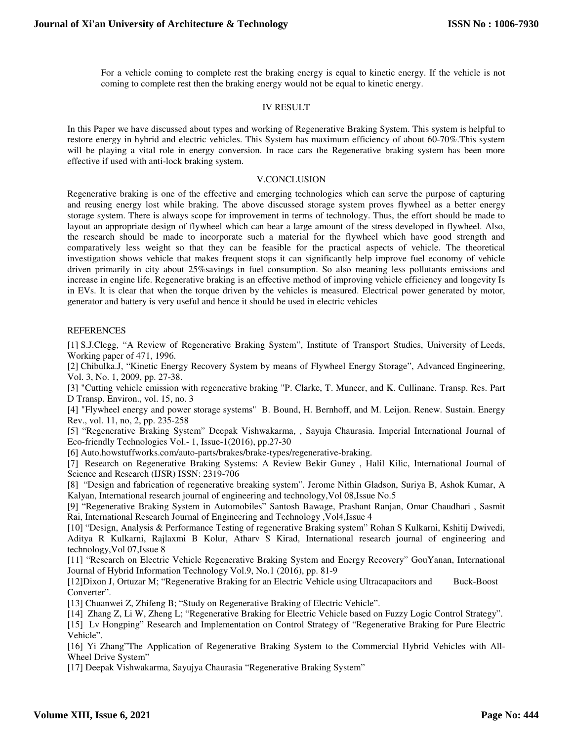For a vehicle coming to complete rest the braking energy is equal to kinetic energy. If the vehicle is not coming to complete rest then the braking energy would not be equal to kinetic energy.

## IV RESULT

In this Paper we have discussed about types and working of Regenerative Braking System. This system is helpful to restore energy in hybrid and electric vehicles. This System has maximum efficiency of about 60-70%.This system will be playing a vital role in energy conversion. In race cars the Regenerative braking system has been more effective if used with anti-lock braking system.

#### V.CONCLUSION

Regenerative braking is one of the effective and emerging technologies which can serve the purpose of capturing and reusing energy lost while braking. The above discussed storage system proves flywheel as a better energy storage system. There is always scope for improvement in terms of technology. Thus, the effort should be made to layout an appropriate design of flywheel which can bear a large amount of the stress developed in flywheel. Also, the research should be made to incorporate such a material for the flywheel which have good strength and comparatively less weight so that they can be feasible for the practical aspects of vehicle. The theoretical investigation shows vehicle that makes frequent stops it can significantly help improve fuel economy of vehicle driven primarily in city about 25%savings in fuel consumption. So also meaning less pollutants emissions and increase in engine life. Regenerative braking is an effective method of improving vehicle efficiency and longevity Is in EVs. It is clear that when the torque driven by the vehicles is measured. Electrical power generated by motor, generator and battery is very useful and hence it should be used in electric vehicles

## **REFERENCES**

[1] S.J.Clegg, "A Review of Regenerative Braking System", Institute of Transport Studies, University of Leeds, Working paper of 471, 1996.

[2] Chibulka.J, "Kinetic Energy Recovery System by means of Flywheel Energy Storage", Advanced Engineering, Vol. 3, No. 1, 2009, pp. 27-38.

[3] "Cutting vehicle emission with regenerative braking "P. Clarke, T. Muneer, and K. Cullinane. Transp. Res. Part D Transp. Environ., vol. 15, no. 3

[4] "Flywheel energy and power storage systems" B. Bound, H. Bernhoff, and M. Leijon. Renew. Sustain. Energy Rev., vol. 11, no, 2, pp. 235-258

[5] "Regenerative Braking System" Deepak Vishwakarma, , Sayuja Chaurasia. Imperial International Journal of Eco-friendly Technologies Vol.- 1, Issue-1(2016), pp.27-30

[6] Auto.howstuffworks.com/auto-parts/brakes/brake-types/regenerative-braking.

[7] Research on Regenerative Braking Systems: A Review Bekir Guney , Halil Kilic, International Journal of Science and Research (IJSR) ISSN: 2319-706

[8] "Design and fabrication of regenerative breaking system". Jerome Nithin Gladson, Suriya B, Ashok Kumar, A Kalyan, International research journal of engineering and technology,Vol 08,Issue No.5

[9] "Regenerative Braking System in Automobiles" Santosh Bawage, Prashant Ranjan, Omar Chaudhari , Sasmit Rai, International Research Journal of Engineering and Technology ,Vol4,Issue 4

[10] "Design, Analysis & Performance Testing of regenerative Braking system" Rohan S Kulkarni, Kshitij Dwivedi, Aditya R Kulkarni, Rajlaxmi B Kolur, Atharv S Kirad, International research journal of engineering and technology,Vol 07,Issue 8

[11] "Research on Electric Vehicle Regenerative Braking System and Energy Recovery" GouYanan, International Journal of Hybrid Information Technology Vol.9, No.1 (2016), pp. 81-9

[12]Dixon J, Ortuzar M; "Regenerative Braking for an Electric Vehicle using Ultracapacitors and Buck-Boost Converter".

[13] Chuanwei Z, Zhifeng B; "Study on Regenerative Braking of Electric Vehicle".

[14] Zhang Z, Li W, Zheng L; "Regenerative Braking for Electric Vehicle based on Fuzzy Logic Control Strategy".

[15] Lv Hongping" Research and Implementation on Control Strategy of "Regenerative Braking for Pure Electric Vehicle".

[16] Yi Zhang"The Application of Regenerative Braking System to the Commercial Hybrid Vehicles with All-Wheel Drive System"

[17] Deepak Vishwakarma, Sayujya Chaurasia "Regenerative Braking System"